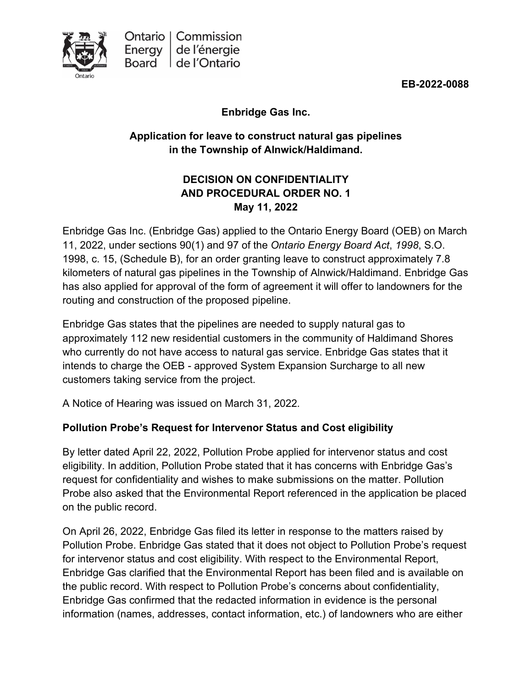

**EB-2022-0088**

**Enbridge Gas Inc.**

# **Application for leave to construct natural gas pipelines in the Township of Alnwick/Haldimand.**

# **DECISION ON CONFIDENTIALITY AND PROCEDURAL ORDER NO. 1 May 11, 2022**

Enbridge Gas Inc. (Enbridge Gas) applied to the Ontario Energy Board (OEB) on March 11, 2022, under sections 90(1) and 97 of the *Ontario Energy Board Act*, *1998*, S.O. 1998, c. 15, (Schedule B), for an order granting leave to construct approximately 7.8 kilometers of natural gas pipelines in the Township of Alnwick/Haldimand. Enbridge Gas has also applied for approval of the form of agreement it will offer to landowners for the routing and construction of the proposed pipeline.

Enbridge Gas states that the pipelines are needed to supply natural gas to approximately 112 new residential customers in the community of Haldimand Shores who currently do not have access to natural gas service. Enbridge Gas states that it intends to charge the OEB - approved System Expansion Surcharge to all new customers taking service from the project.

A Notice of Hearing was issued on March 31, 2022*.*

# **Pollution Probe's Request for Intervenor Status and Cost eligibility**

By letter dated April 22, 2022, Pollution Probe applied for intervenor status and cost eligibility. In addition, Pollution Probe stated that it has concerns with Enbridge Gas's request for confidentiality and wishes to make submissions on the matter. Pollution Probe also asked that the Environmental Report referenced in the application be placed on the public record.

On April 26, 2022, Enbridge Gas filed its letter in response to the matters raised by Pollution Probe. Enbridge Gas stated that it does not object to Pollution Probe's request for intervenor status and cost eligibility. With respect to the Environmental Report, Enbridge Gas clarified that the Environmental Report has been filed and is available on the public record. With respect to Pollution Probe's concerns about confidentiality, Enbridge Gas confirmed that the redacted information in evidence is the personal information (names, addresses, contact information, etc.) of landowners who are either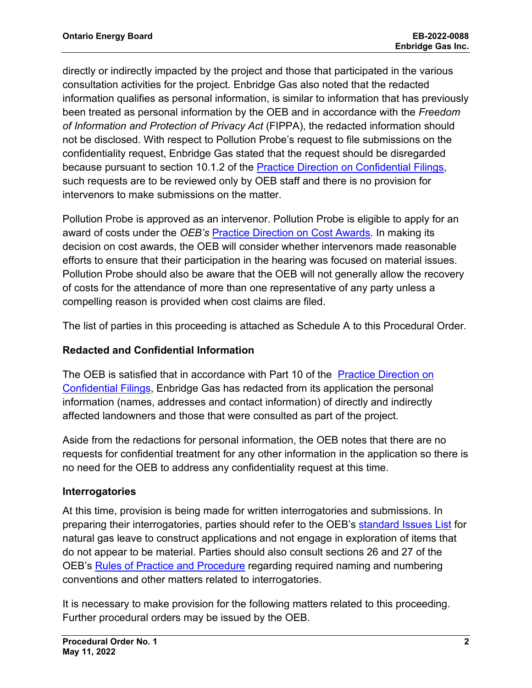directly or indirectly impacted by the project and those that participated in the various consultation activities for the project. Enbridge Gas also noted that the redacted information qualifies as personal information, is similar to information that has previously been treated as personal information by the OEB and in accordance with the *Freedom of Information and Protection of Privacy Act* (FIPPA), the redacted information should not be disclosed. With respect to Pollution Probe's request to file submissions on the confidentiality request, Enbridge Gas stated that the request should be disregarded because pursuant to section 10.1.2 of the Practice Direction [on Confidential Filings,](https://www.oeb.ca/sites/default/files/uploads/documents/regulatorycodes/2021-12/Practice-Direction-Confidential-Filings-20211217.pdf) such requests are to be reviewed only by OEB staff and there is no provision for intervenors to make submissions on the matter.

Pollution Probe is approved as an intervenor. Pollution Probe is eligible to apply for an award of costs under the *OEB's* [Practice Direction on Cost Awards](https://www.oeb.ca/industry/rules-codes-and-requirements/practice-direction-cost-awards)*.* In making its decision on cost awards, the OEB will consider whether intervenors made reasonable efforts to ensure that their participation in the hearing was focused on material issues. Pollution Probe should also be aware that the OEB will not generally allow the recovery of costs for the attendance of more than one representative of any party unless a compelling reason is provided when cost claims are filed.

The list of parties in this proceeding is attached as Schedule A to this Procedural Order.

## **Redacted and Confidential Information**

The OEB is satisfied that in accordance with Part 10 of the Practice Direction on [Confidential Filings,](https://www.oeb.ca/sites/default/files/uploads/documents/regulatorycodes/2021-12/Practice-Direction-Confidential-Filings-20211217.pdf) Enbridge Gas has redacted from its application the personal information (names, addresses and contact information) of directly and indirectly affected landowners and those that were consulted as part of the project.

Aside from the redactions for personal information, the OEB notes that there are no requests for confidential treatment for any other information in the application so there is no need for the OEB to address any confidentiality request at this time.

## **Interrogatories**

At this time, provision is being made for written interrogatories and submissions. In preparing their interrogatories, parties should refer to the OEB's [standard Issues List](https://www.oeb.ca/sites/default/files/issues-list-LTC-natural-gas.pdf) for natural gas leave to construct applications and not engage in exploration of items that do not appear to be material. Parties should also consult sections 26 and 27 of the OEB's [Rules of Practice and Procedure](https://www.oeb.ca/industry/rules-codes-and-requirements/rules-practice-procedure) regarding required naming and numbering conventions and other matters related to interrogatories.

It is necessary to make provision for the following matters related to this proceeding. Further procedural orders may be issued by the OEB.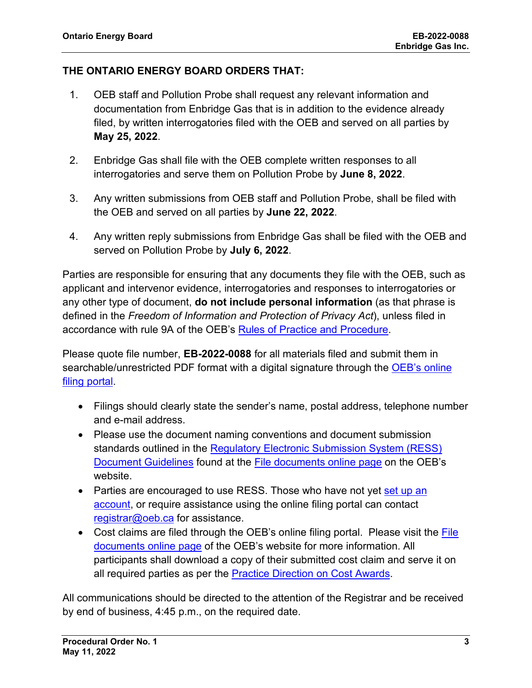## **THE ONTARIO ENERGY BOARD ORDERS THAT:**

- 1. OEB staff and Pollution Probe shall request any relevant information and documentation from Enbridge Gas that is in addition to the evidence already filed, by written interrogatories filed with the OEB and served on all parties by **May 25, 2022**.
- 2. Enbridge Gas shall file with the OEB complete written responses to all interrogatories and serve them on Pollution Probe by **June 8, 2022**.
- 3. Any written submissions from OEB staff and Pollution Probe, shall be filed with the OEB and served on all parties by **June 22, 2022**.
- 4. Any written reply submissions from Enbridge Gas shall be filed with the OEB and served on Pollution Probe by **July 6, 2022**.

Parties are responsible for ensuring that any documents they file with the OEB, such as applicant and intervenor evidence, interrogatories and responses to interrogatories or any other type of document, **do not include personal information** (as that phrase is defined in the *Freedom of Information and Protection of Privacy Act*), unless filed in accordance with rule 9A of the OEB's [Rules of Practice and Procedure.](https://www.oeb.ca/industry/rules-codes-and-requirements/rules-practice-procedure)

Please quote file number, **EB-2022-0088** for all materials filed and submit them in searchable/unrestricted PDF format with a digital signature through the OEB's online [filing portal.](https://p-pes.ontarioenergyboard.ca/PivotalUX/)

- Filings should clearly state the sender's name, postal address, telephone number and e-mail address.
- Please use the document naming conventions and document submission standards outlined in the Regulatory Electronic Submission System (RESS) [Document Guidelines](https://www.oeb.ca/sites/default/files/RESS-Document-Guidelines-202006.pdf) found at the [File documents online page](https://www.oeb.ca/regulatory-rules-and-documents/file-documents-online) on the OEB's website.
- Parties are encouraged to use RESS. Those who have not yet set up an [account,](https://www.oeb.ca/oeb/_Documents/e-Filing/Electronic_User_Form.pdf?v=20200331) or require assistance using the online filing portal can contact [registrar@oeb.ca](mailto:registrar@oeb.ca) for assistance.
- Cost claims are filed through the OEB's online filing portal. Please visit the File [documents online page](https://www.oeb.ca/regulatory-rules-and-documents/file-documents-online) of the OEB's website for more information. All participants shall download a copy of their submitted cost claim and serve it on all required parties as per the [Practice Direction on Cost Awards.](https://www.oeb.ca/regulatory-rules-and-documents/rules-codes-and-requirements/practice-direction-cost-awards)

All communications should be directed to the attention of the Registrar and be received by end of business, 4:45 p.m., on the required date.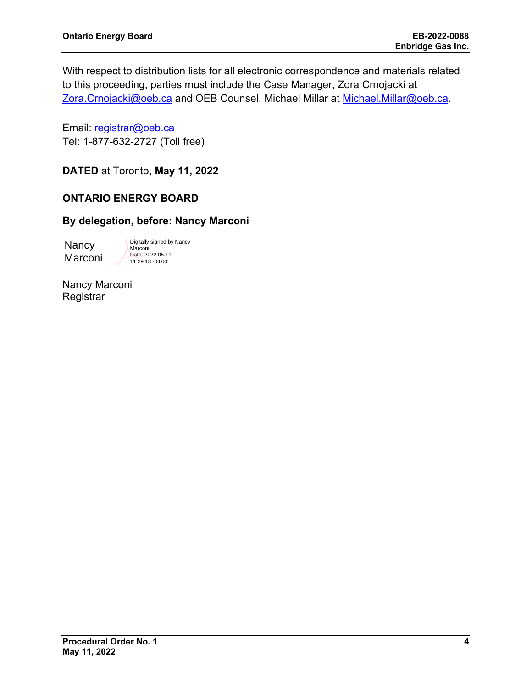With respect to distribution lists for all electronic correspondence and materials related to this proceeding, parties must include the Case Manager, Zora Crnojacki at [Zora.Crnojacki@oeb.ca](mailto:%20firstname.lastname@oeb.ca) and OEB Counsel, Michael Millar at [Michael.Millar@oeb.ca.](mailto:Michael.Millar@oeb.ca)

Email: [registrar@oeb.ca](mailto:registrar@oeb.ca) Tel: 1-877-632-2727 (Toll free)

**DATED** at Toronto, **May 11, 2022**

## **ONTARIO ENERGY BOARD**

## **By delegation, before: Nancy Marconi**

**Nancy** Marconi Digitally signed by Nancy **Marconi** Date: 2022.05.11 11:29:13 -04'00'

Nancy Marconi **Registrar**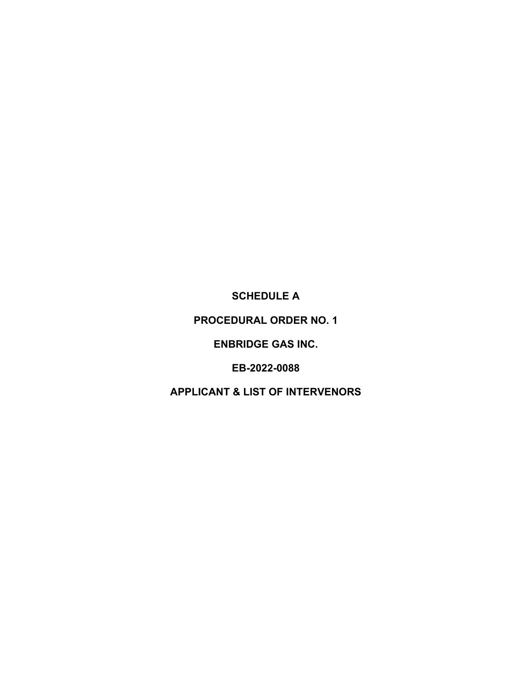**SCHEDULE A** 

**PROCEDURAL ORDER NO. 1** 

**ENBRIDGE GAS INC.**

**EB-2022-0088**

**APPLICANT & LIST OF INTERVENORS**